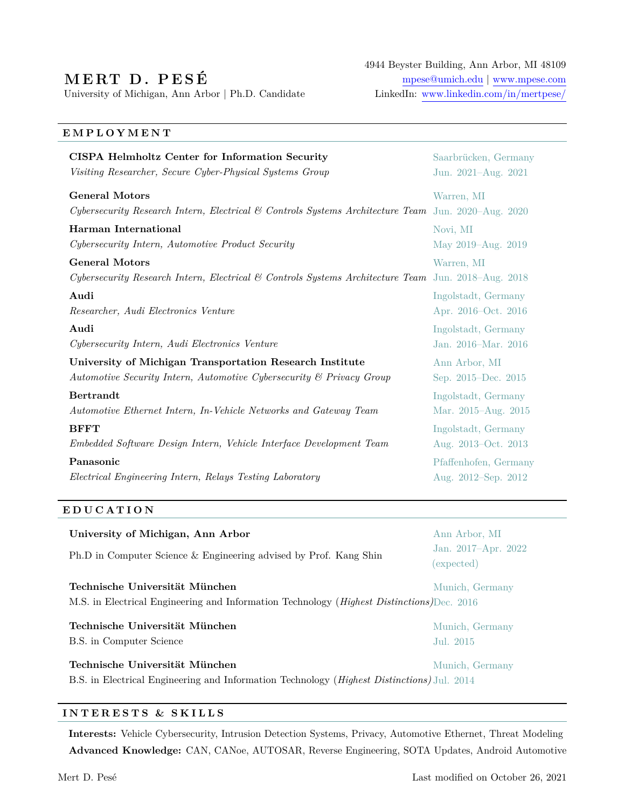# **M E RT D . P E S É**

University of Michigan, Ann Arbor | Ph.D. Candidate LinkedIn: [www.linkedin.com/in/mertpese/](https://www.linkedin.com/in/mertpese/)

4944 Beyster Building, Ann Arbor, MI 48109 [mpese@umich.edu](mailto:mpese@umich.edu) | [www.mpese.com](https://web.eecs.umich.edu/~mpese)

### **E M P L O Y M E N T**

| CISPA Helmholtz Center for Information Security                                                    | Saarbrücken, Germany     |
|----------------------------------------------------------------------------------------------------|--------------------------|
| Visiting Researcher, Secure Cyber-Physical Systems Group                                           | Jun. 2021-Aug. 2021      |
| <b>General Motors</b>                                                                              | Warren, MI               |
| Cybersecurity Research Intern, Electrical & Controls Systems Architecture Team Jun. 2020–Aug. 2020 |                          |
| Harman International                                                                               | Novi, MI                 |
| Cybersecurity Intern, Automotive Product Security                                                  | May 2019-Aug. 2019       |
| <b>General Motors</b>                                                                              | Warren, MI               |
| Cybersecurity Research Intern, Electrical & Controls Systems Architecture Team Jun. 2018–Aug. 2018 |                          |
| Audi                                                                                               | Ingolstadt, Germany      |
| Researcher, Audi Electronics Venture                                                               | Apr. 2016–Oct. 2016      |
| Audi                                                                                               | Ingolstadt, Germany      |
| Cybersecurity Intern, Audi Electronics Venture                                                     | Jan. 2016–Mar. 2016      |
| University of Michigan Transportation Research Institute                                           | Ann Arbor, MI            |
| Automotive Security Intern, Automotive Cybersecurity & Privacy Group                               | Sep. 2015–Dec. 2015      |
| <b>Bertrandt</b>                                                                                   | Ingolstadt, Germany      |
| Automotive Ethernet Intern, In-Vehicle Networks and Gateway Team                                   | Mar. 2015–Aug. 2015      |
| <b>BFFT</b>                                                                                        | Ingolstadt, Germany      |
| Embedded Software Design Intern, Vehicle Interface Development Team                                | Aug. 2013–Oct. 2013      |
| Panasonic                                                                                          | Pfaffenhofen, Germany    |
| Electrical Engineering Intern, Relays Testing Laboratory                                           | Aug. $2012$ –Sep. $2012$ |

#### **E D U C A T I O N**

| University of Michigan, Ann Arbor                                                                                                    | Ann Arbor, MI                     |
|--------------------------------------------------------------------------------------------------------------------------------------|-----------------------------------|
| Ph.D in Computer Science & Engineering advised by Prof. Kang Shin                                                                    | Jan. 2017-Apr. 2022<br>(expected) |
| Technische Universität München<br>M.S. in Electrical Engineering and Information Technology ( <i>Highest Distinctions</i> )Dec. 2016 | Munich, Germany                   |
| Technische Universität München                                                                                                       | Munich, Germany                   |
| B.S. in Computer Science                                                                                                             | Jul. 2015                         |
| Technische Universität München                                                                                                       | Munich, Germany                   |
| B.S. in Electrical Engineering and Information Technology ( <i>Highest Distinctions</i> ) Jul. 2014                                  |                                   |

#### **I N T E R E S T S & S K I L L S**

**Interests:** Vehicle Cybersecurity, Intrusion Detection Systems, Privacy, Automotive Ethernet, Threat Modeling **Advanced Knowledge:** CAN, CANoe, AUTOSAR, Reverse Engineering, SOTA Updates, Android Automotive